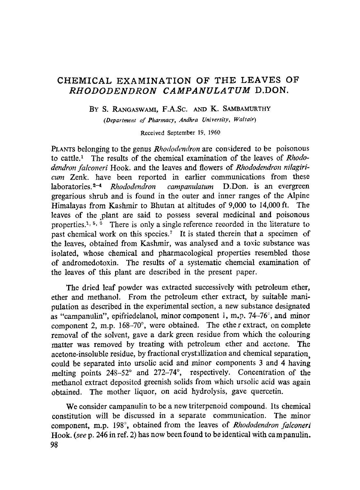# CHEMICAL EXAMINATION OF THE LEAVES OF *RHODODENDRON CAMPANULATUM* D.DON.

BY S. RANGASWAMI, F.A.Sc. AND K. SAMBAMURTHY

*(Department of Pharmacy, Andhra University, Waltair)* 

Received September 19, 1960

PLANTS belonging to the genus *Rhododendron* are considered to be poisonous to cattle. 1 The results of the chemical examination of the leaves of *Rhododendron falconeri* Hook. and the leaves and flowers of *Rhododendron nilagiricum* Zenk. have been reported in earlier communications from these laboratories.<sup>2-4</sup> *Rhododendron campanulatum* D.Don. is an evergreen laboratories.<sup>2-4</sup> *Rhododendron campanulatum* D.Don. is an evergreen gregarious shrub and is found in the outer and inner ranges of the Alpine Himalayas from Kashmir to Bhutan at altitudes of 9,000 to 14,000 ft. The leaves of the plant are said to possess several medicinal and poisonous properties.<sup>1,  $5, \overline{6}$ </sup> There is only a single reference recorded in the literature to past chemical work on this species.<sup>7</sup> It is stated therein that a specimen of the leaves, obtained from Kashmir, was analysed anda toxic substance was isolated, whose chemical and pharmacological properties resembled those of andromedotoxin. The results of a systematic chemcial examination of the leaves of this plant are described in the present paper.

The dried leaf powder was extracted successively with petroleum ether, ether and methanol. From the petroleum ether extract, by suitable manipulation as described in the experimental section, a new substance designated as "campanulin", epifriedelanol, minor component 1, m.p.  $74-76^\circ$ , and minor component 2, m.p.  $168-70^{\circ}$ , were obtained. The ether extract, on complete removal of the solvent, gave a dark green residue from which the colouring matter was removed by treating with petroleum ether and acetone. The acetone-insoluble residue, by fractional crystallization and chemical separation, could be separated into ursolic acid and minor components 3 and 4 having melting points 248-52° and 272-74°, respectively. Concentration of the methanol extract deposited greenish solids from which ursolic acid was again obtained. The mother liquor, on acid hydrolysis, gave quercetin.

We eonsider campanulin to be a new triterpenoid compound. Its chemical constitution will be discussed in a separate communication. The minor component, m.p. 198°, obtained from the leaves of *Rhododendron falconeri* Hook. *(see p. 246 in ref. 2)* has now been found to be identical with campanulin. 98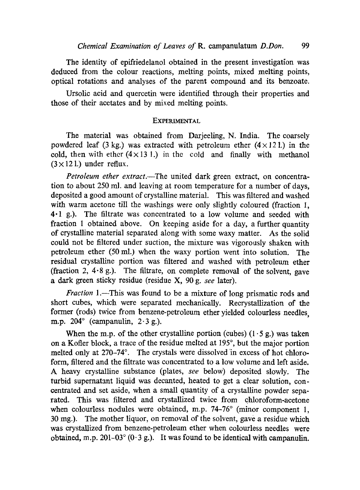The identity of epifriedelanol obtained in the present investigation was deduced from the colour reactions, melting points, mixed melting points, optical rotations and analyses of the parent compound and its benzoate.

Ursolic acid and quercetin were identified through their properties and those of their acetates and by mixed melting points.

#### EXPERIMENTAL

The material was obtained from Darjeeling, N. India. The coarsely powdered leaf (3 kg.) was extracted with petroleum ether  $(4 \times 121)$  in the cold, then with ether  $(4 \times 13 \text{ l})$  in the cold and finally with methanol  $(3 \times 121)$  under reflux.

*Petroleum ether extract.--The* united dark green extract, on concentration to about 250 ml. and leaving at room temperature for a number of days, deposited a good amount of crystaUine material. This was filtered and washed with warm acetone till the washings were only slightly coloured (fraction 1, 4.1 g.). The filtrate was concentrated to a low volume and seeded with fraction 1 obtained above. On keeping aside for a day, a further quantity of crystalline material separated along with some waxy matter. As the solid could not be filtered under suction, the mixture was vigorously shaken with petroleum ether (50 ml.) when the waxy portion went into solution. The residual crystalline portion was filtered and washed with petroleum ether (fraction 2,  $4.8$  g.). The filtrate, on complete removal of the solvent, gave a dark green sticky residue (residue X, 90 g. *see* later).

*Fraction 1*.—This was found to be a mixture of long prismatic rods and short cubes, which were separated mechanicaUy. RecrystaUization of the former (rods) twice from benzene-petroleum ether yielded colourless needles, m.p.  $204^\circ$  (campanulin,  $2.3 \text{ g.}$ ).

When the m.p. of the other crystalline portion (cubes)  $(1.5 g)$  was taken on a Kofler block, a trace of the residue melted at 195°, but the major portion melted only at  $270-74^\circ$ . The crystals were dissolved in excess of hot chloroform, filtered and the filtrate was concentrated to a low volume and left aside. A heavy crystalline subslance (plates, *see* below) deposited slowly. The turbid supernatant liquid was decanted, heated to get a clear solution, concentrated and set aside, when a small quantity of a crystalline powder separated. This was filtered and crystallized twice from chloroform-acetone when colourless nodules were obtained, m.p.  $74-76^\circ$  (minor component 1, 30 mg.). The mother liquor, on removal of the solvent, gave a residue which was crystallized from benzene-petroleum ether when colourless needles were obtained, m.p. 201-03 $^{\circ}$  (0.3 g.). It was found to be identical with campanulin.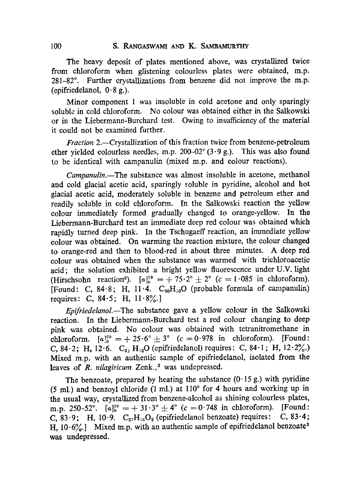The hcavy deposit of plates mentioned above, was crystallized twice from chloroform when glistening colourless plates were obtained, m.p. 281-82°. Further crystallizations from benzene did not improve the m.p. (epifricaelanol,  $0.8$  g.).

Minor component l was insoluble in cold acetone and only sparingly soluble in cold chloroform. No colour was obtained either in the Salkowski or in the Liebermann-Burchard test. Owing to insufficiency of the material ir could not be examined further.

*Fraction* 2.—Crystallization of this fraction twice from benzene-petroleum ether vielded colourless needles, m.p.  $200-02^{\circ}$  (3.9 g.). This was also found to be identical with campanulin (mixed m.p. and colour reactions).

*Campanulin.*—The substance was almost insoluble in acetone, methanol and cold glacial acetic acid, sparingly soluble in pyridine, alcohol and hot glacial acetic acid, moderately soluble in benzene and petroleum ether and readily soluble in cold chloroform. In the Salkowski reaction the yellow colour immediately formed gradually changed to orange-yellow. In the Liebermann-Burchard test an immediate deep red colour was obtained which rapidly turned deep pink. In the Tschugaeff reaction, an immediate yellow eolour was obtained. On warming the reaction mixture, the colour changed to orange-red and then to blood-red in about three minutes. A deep red colour was obtained when the substance was warmed with trichloroacetic acid; the solution exhibited a bright yeUow fluorescence under U.V. light (Hirschsohn reaction<sup>8</sup>).  $[a]_0^{29} = +75.2^\circ \pm 2^\circ$  (c = 1.085 in chloroform). [Found: C, 84.8; H, 11.4.  $C_{30}H_{50}O$  (probable formula of campanulin) requires: C,  $84.5$ ; H,  $11.8\%$ .

*EpifriedelanoL--The* substance gave a yellow colour in the Salkowski reaction. In the Liebermann-Burchard test a red colour changing to deep pink was obtained. No colour was obtained with tetranitromethane in chloroform.  $[a]_p^{29} = +25.6^\circ \pm 3^\circ$   $(c = 0.978$  in chloroform). [Found: C, 84.2; H, 12.6. C<sub>3</sub>, H<sub>32</sub>O (epifriedelanol) requires: C, 84.1; H, 12.2%.) Mixed m.p. with ah authentic sample of epifriedelanol, isolated from the leaves of *R. nilagiricum* Zenk.,<sup>3</sup> was undepressed.

The benzoate, prepared by heating the substance  $(0.15 \text{ g})$  with pyridine (5 ml.) and benzoyl chloride (1 ml.) at  $110^{\circ}$  for 4 hours and working up in the usual way, crystaUized from benzene-alcohol as shining colourless plates, m.p. 250-52°.  $[a]_p^{29} = +31.3^\circ \pm 4^\circ$  (c = 0.748 in chloroform). [Found: C, 83.9; H, 10.9.  $C_{37}H_{56}O_2$  (epifriedelanol benzoate) requires: C, 83.4; H,  $10.6\%$ .] Mixed m.p. with an authentic sample of epifriedelanol benzoate<sup>3</sup> was undepressed,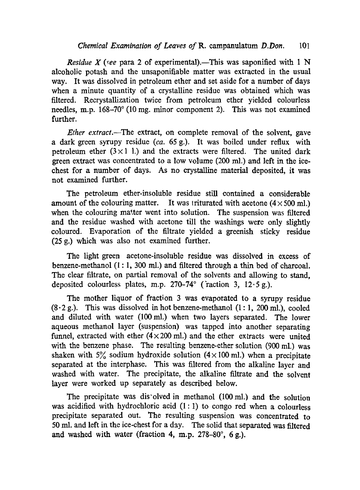*Residue X (see para 2 of experimental).*—This was saponified with 1 N alcoholic potash and the unsaponifiable matter was extracted in the usual way. It was dissolved in petroleum ether and set aside for a number of days when a minute quantity of a crystalline residue was obtained which was filtered. Recrystallization twice from petroleum ether yielded colourless needles, m.p.  $168-70^{\circ}$  (10 mg, minor component 2). This was not examined further.

*Ether extract.--The* extract, on complete removal of the solvent, gave a dark green syrupy residue *(ca.* 65 g.). It was boiled under reflux with petroleum ether  $(3 \times 1)$  and the extracts were filtered. The united dark green extract was concentrated to a low volume (200 mi.) and left in the icechest for a number of days. As no crystalline material deposited, it was not examined further.

The petroleum ether-insoluble residue still contained a considerable amount of the colouring matter. It was triturated with acetone  $(4 \times 500 \text{ ml.})$ when the colouring matter went into solution. The suspension was filtered and the residue washed with acetone till the washings were only slightly coloured. Evaporation of the filtrate yielded a greenish sticky residue (25 g.) which was also not examined further.

The light green acetone-insoluble residue was dissolved in excess of benzene-methanol  $(1:1, 300 \text{ ml})$  and filtered through a thin bed of charcoal. The clear filtrate, on partial removal of the solvents and allowing to stand, deposited colourless plates, m.p.  $270-74^\circ$  (raction 3,  $12.5 g$ .).

The mother liquor of fraction 3 was evaporated to a syrupy residue  $(8.2 \text{ g.})$ . This was dissolved in hot benzene-methanol  $(1:1, 200 \text{ ml.})$ , cooled and diluted with water (100mi.) when two layers separated. The lower aqueous methanol layer (suspension) was tapped into another separating funnel, extracted with ether  $(4 \times 200 \text{ ml.})$  and the ether extracts were united with the benzene phase. The resulting benzene-ether solution (900 ml.) was shaken with  $5\%$  sodium hydroxide solution (4×100 ml.) when a precipitate separated at the interphase. This was filtered from the alkaline layer and washed with water. The precipitate, the alkaline filtrate and the solvent layer were worked up separately as described below.

The precipitate was dis-olved in methanol  $(100 \text{ ml.})$  and the solution was acidified with hydrochloric acid  $(1: 1)$  to congo red when a colourless precipitate separated out. The resulting suspension was concentrated to 50 mi. and left in the ice-chest fora day. The solid that separated was filtered and washed with water (fraction 4, m.p.  $278-80^{\circ}$ , 6 g.).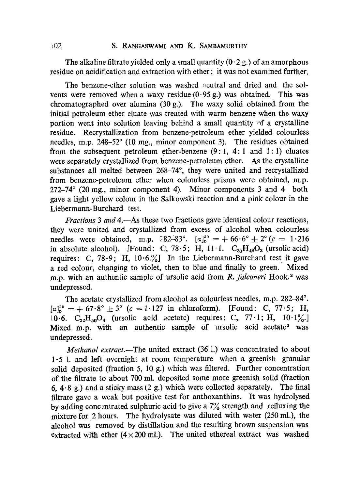The alkaline filtrate yielded only a small quantity  $(0.2 \text{ g.})$  of an amorphous residue on acidification and extraction with ether; it was not examined further.

The benzene-ether solution was washed neutral and dried and the solvents were removed when a waxy residue  $(0.95 g)$  was obtained. This was chromatographed over alumina (30 g.). The waxy solid obtained from the initial petroleum ether eluate was treated with warm benzene when the waxy portion went into solution leaving behind a small quantity of a crystalline residue. Recrystallization from benzene-petroleum ether yielded colourless needles, m.p.  $248-52^{\circ}$  (10 mg., minor component 3). The residues obtained from the subsequent petroleum ether-benzene  $(9:1, 4:1 \text{ and } 1:1)$  eluates were separately crystallized from benzene-petroleum ether. As the crystalline substances all melted between 268-74°, they were united and recrystallized from benzene-petroleum ether when colourless prisms were obtained, m.p.  $272-74^{\circ}$  (20 mg., minor component 4). Minor components 3 and 4 both gave a light yellow colour in the Salkowski reaction anda pink colour in the Liebermann-Burchard test.

*Fractions 3 and 4.*-As these two fractions gave identical colour reactions, they were united and crystallized from excess of alcohol when colourless needles were obtained, m.p.  $282-83^\circ$ .  $[a]_p^{29} = +66.6^\circ \pm 2^\circ (c = 1.216$ in absolute alcohol). [Found: C, 78.5; H, 11.1.  $C_{30}H_{48}O_3$  (ursolic acid) requires: C, 78.9; H,  $10.6\frac{\%}{\%}$  In the Liebermann-Burchard test it gave a red colour, changing to violet, then to blue and finaUy to green. Mixed m.p. with an authentic sample of ursolic acid from *R. falconeri* Hook.<sup>2</sup> was undepressed.

The acetate crystallized from alcohol as colourless needles, m.p. 282–84<sup>°</sup>.  $[a]_{n}^{29} = +67.8^{\circ} \pm 3^{\circ}$  (c = 1.127 in chloroform). [Found: C, 77.5; H, 10.6.  $C_{32}H_{50}O_4$  (ursolic acid acetate) requires: C, 77.1; H, 10.1%.] Mixed m.p. with an authentic sample of ursolic acid acetate<sup>2</sup> was undepressed.

*Methanol extract.*--The united extract (36 l.) was concentrated to about 1.5 1. and left overnight at room temperature when a greenish granular solid deposited (fraction 5, 10 g.) which was filtered. Further concentration of the filtrate to about 700 ml. deposited some more greenish solid (fraction 6,  $4.8$  g.) and a sticky mass (2 g.) which were collected separately. The final filtrate gave a weak but positive test for anthoxanthins. It was hydrolysed by adding cono metrated sulphuric acid to give a  $7\%$  strength and refluxing the mixture for 2 hours. The hydrolysate was diluted with water (250 mi.), the alcohol was removed by distillation and the resulting brown suspension was extracted with ether  $(4 \times 200 \text{ ml.})$ . The united ethereal extract was washed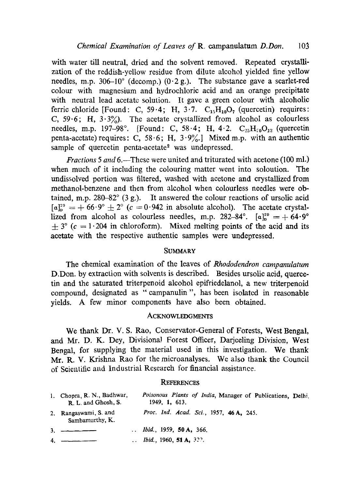with water till neutral, dried and the solvent removed. Repeated crystallization of the reddish-yellow residue from dilute alcohol yielded fine yellow needles, m.p. 306-10 $^{\circ}$  (decomp.) (0.2 g.). The substance gave a scarlet-red colour with magnesium and hydrochloric acid and an orange precipitate with neutral lead acetate solution. It gave a green colour with alcoholic ferric chloride [Found: C, 59.4; H,  $3.7.$  C<sub>15</sub>H<sub>10</sub>O<sub>7</sub> (quercetin) requires: C,  $59.6$ ; H,  $3.3\%$ ). The acetate crystallized from alcohol as colourless needles, m.p. 197-98°. [Found: C, 58.4; H, 4.2.  $C_{25}H_{10}O_{12}$  (quercetin penta-acetate) requires: C, 58.6; H,  $3.9\%$ . Mixed m.p. with an authentic sample of quercetin penta-acetate<sup>2</sup> was undepressed.

*Fractions 5 and 6.*—These were united and triturated with acetone (100 ml.) when much of it including the colouring matter went into soloution. The undissolved portion was filtered, washed with acetone and crystallized from methanol-benzene and then from alcohol when colourless needles were obtained, m.p. 280-82 $^{\circ}$  (3 g.). It answered the colour reactions of ursolic acid  $[a]_{0}^{29} = +66.9^{\circ} + 2^{\circ}$  (c = 0.942 in absolute alcohol). The acetate crystallized from alcohol as colourless needles, m.p. 282-84°.  $[a]_{\alpha}^{29} = +64.9^{\circ}$  $+ 3^{\circ}$  (c = 1.204 in chloroform). Mixed melting points of the acid and its acetate with the respective authentic samples were undepressed.

#### **SUMMARY**

The chemical examination of the leaves of *Rhododendron campanulatum*  D. Don. by extraction with solvents is described. Besides ursolic acid, quercetin and the saturated triterpenoid alcohol epifriedelanol, a new triterpenoid compound, designated as "campanulin", has been isolated in reasonable vields. A few minor components have also been obtained.

#### **ACKNOWLEDGMENTS**

We thank Dr. V. S. Rao, Conservator-General of Forests, West Bengal, and Mr. D. K. Dey, Divisional Forest Officer, Darjeeling Division, West Bengal, for supplying the material used in this investigation. We thank  $Mr. R. V. Krishna Rao for the microanalyses. We also thank the Council$ of Scientific aad Industrial Research for financial assistance.

### **REFERENCES**

|    | 1. Chopra, R. N., Badhwar,<br>R. L. and Ghosh, S. | Poisonous Plants of India, Manager of Publications, Delhi.<br>1949, 1, 613. |
|----|---------------------------------------------------|-----------------------------------------------------------------------------|
| 2. | Rangaswami, S. and<br>Sambamurthy, K.             | Proc. Ind. Acad. Sci., 1957, 46 A, 245.                                     |
|    | 3. $-$                                            | <i>Ibid.</i> , 1959, <b>50 A,</b> 366,                                      |
| 4. |                                                   | <i>Ibid.</i> , 1960, <b>51 A,</b> 32?.                                      |